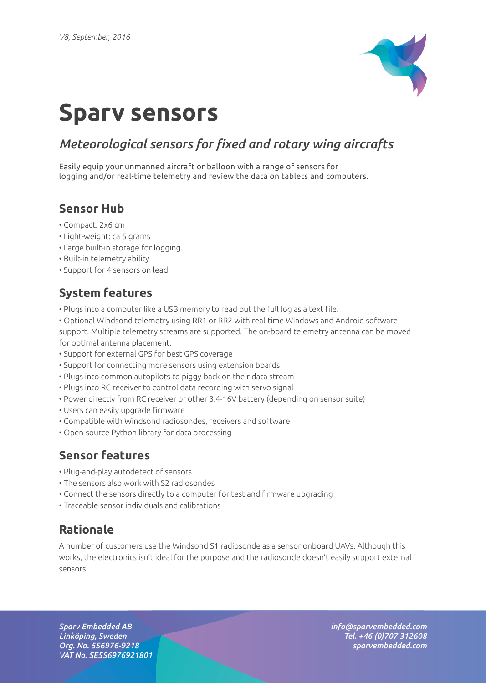

# **Sparv sensors**

## *Meteorological sensors for fixed and rotary wing aircrafts*

Easily equip your unmanned aircraft or balloon with a range of sensors for logging and/or real-time telemetry and review the data on tablets and computers.

### **Sensor Hub**

- Compact: 2x6 cm
- Light-weight: ca 5 grams
- Large built-in storage for logging
- Built-in telemetry ability
- Support for 4 sensors on lead

## **System features**

• Plugs into a computer like a USB memory to read out the full log as a text file.

• Optional Windsond telemetry using RR1 or RR2 with real-time Windows and Android software support. Multiple telemetry streams are supported. The on-board telemetry antenna can be moved for optimal antenna placement.

- Support for external GPS for best GPS coverage
- Support for connecting more sensors using extension boards
- Plugs into common autopilots to piggy-back on their data stream
- Plugs into RC receiver to control data recording with servo signal
- Power directly from RC receiver or other 3.4-16V battery (depending on sensor suite)
- Users can easily upgrade firmware
- Compatible with Windsond radiosondes, receivers and software
- Open-source Python library for data processing

#### **Sensor features**

- Plug-and-play autodetect of sensors
- The sensors also work with S2 radiosondes
- Connect the sensors directly to a computer for test and firmware upgrading
- Traceable sensor individuals and calibrations

## **Rationale**

A number of customers use the Windsond S1 radiosonde as a sensor onboard UAVs. Although this works, the electronics isn't ideal for the purpose and the radiosonde doesn't easily support external sensors.

*Sparv Embedded AB Linköping, Sweden Org. No. 556976-9218 VAT No. SE556976921801* *info@sparvembedded.com Tel. +46 (0)707 312608 sparvembedded.com*